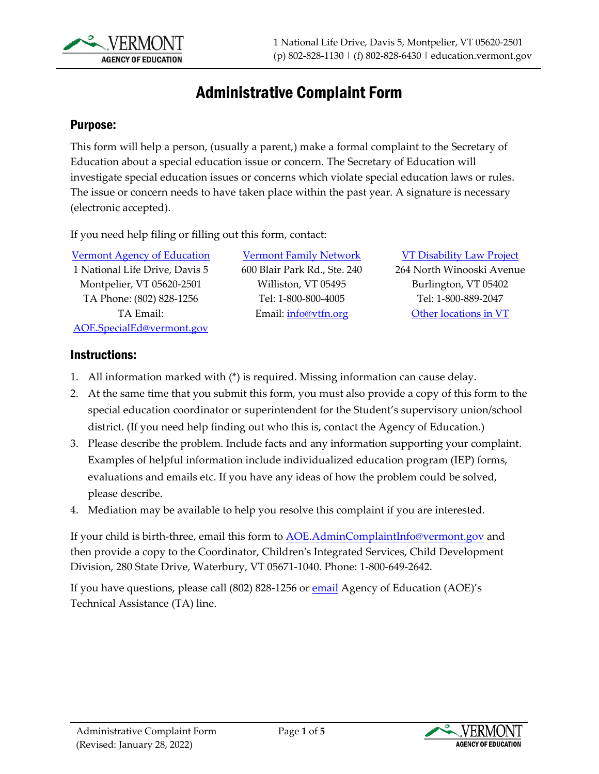

## Administrative Complaint Form

### Purpose:

This form will help a person, (usually a parent,) make a formal complaint to the Secretary of Education about a special education issue or concern. The Secretary of Education will investigate special education issues or concerns which violate special education laws or rules. The issue or concern needs to have taken place within the past year. A signature is necessary (electronic accepted).

If you need help filing or filling out this form, contact:

[Vermont Agency of Education](https://education.vermont.gov/student-support/vermont-special-education/resources-for-families/dispute-resolution)  1 National Life Drive, Davis 5 Montpelier, VT 05620-2501 TA Phone: (802) 828-1256 TA Email: [AOE.SpecialEd@vermont.gov](mailto:AOE.SpecialEd@vermont.gov)

[Vermont Family Network](https://www.vermontfamilynetwork.org/) 600 Blair Park Rd., Ste. 240 Williston, VT 05495 Tel: 1-800-800-4005 Email: [info@vtfn.org](mailto:info@vtfn.org)

#### [VT Disability Law Project](https://www.vtlegalaid.org/disability-law-project)

264 North Winooski Avenue Burlington, VT 05402 Tel: 1-800-889-2047 [Other locations in VT](https://www.vtlegalaid.org/contact-locations)

### Instructions:

- 1. All information marked with (\*) is required. Missing information can cause delay.
- 2. At the same time that you submit this form, you must also provide a copy of this form to the special education coordinator or superintendent for the Student's supervisory union/school district. (If you need help finding out who this is, contact the Agency of Education.)
- 3. Please describe the problem. Include facts and any information supporting your complaint. Examples of helpful information include individualized education program (IEP) forms, evaluations and emails etc. If you have any ideas of how the problem could be solved, please describe.
- 4. Mediation may be available to help you resolve this complaint if you are interested.

If your child is birth-three, email this form to **AOE.[AdminComplaintInfo](mailto:AOE.AdminComplaintInfo@vermont.gov)@vermont.gov** and then provide a copy to the Coordinator, Children's Integrated Services, Child Development Division, 280 State Drive, Waterbury, VT 05671-1040. Phone: 1-800-649-2642.

If you have questions, please call (802) 828-1256 o[r email](mailto:AOE.SpecialEd@vermont.gov) Agency of Education (AOE)'s Technical Assistance (TA) line.

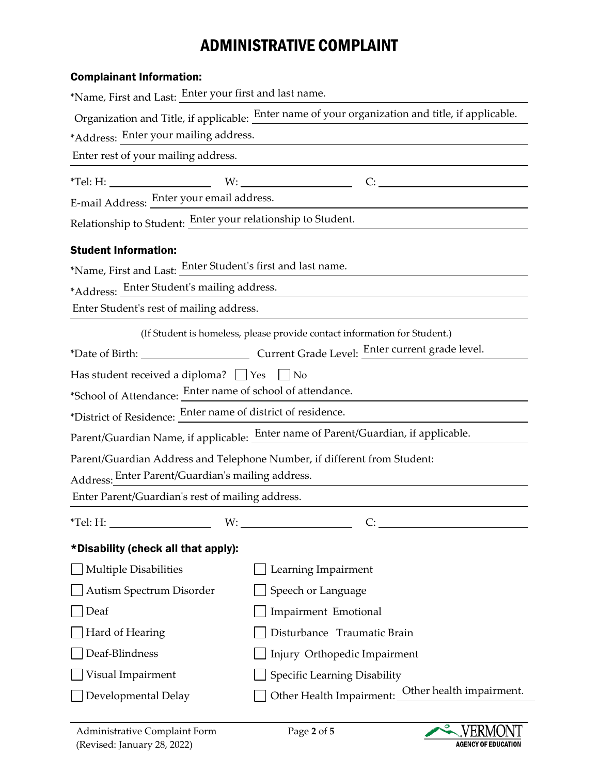# ADMINISTRATIVE COMPLAINT

| <b>Complainant Information:</b>                                                                  |  |  |
|--------------------------------------------------------------------------------------------------|--|--|
| *Name, First and Last: Enter your first and last name.                                           |  |  |
| Organization and Title, if applicable: Enter name of your organization and title, if applicable. |  |  |
| *Address: Enter your mailing address.                                                            |  |  |
| Enter rest of your mailing address.                                                              |  |  |
| *Tel: H: $\qquad \qquad W:$ $\qquad \qquad W:$<br>C:                                             |  |  |
| E-mail Address: Enter your email address.                                                        |  |  |
| Relationship to Student: Enter your relationship to Student.                                     |  |  |
|                                                                                                  |  |  |
| *Name, First and Last: Enter Student's first and last name.                                      |  |  |
| *Address: Enter Student's mailing address.                                                       |  |  |
| Enter Student's rest of mailing address.                                                         |  |  |
| (If Student is homeless, please provide contact information for Student.)                        |  |  |
| *Date of Birth: Current Grade Level: Enter current grade level.                                  |  |  |
| Has student received a diploma? $\Box$ Yes<br>$\vert$   No                                       |  |  |
| *School of Attendance: Enter name of school of attendance.                                       |  |  |
| *District of Residence: Enter name of district of residence.                                     |  |  |
| Parent/Guardian Name, if applicable: Enter name of Parent/Guardian, if applicable.               |  |  |
| Parent/Guardian Address and Telephone Number, if different from Student:                         |  |  |
| Address: Enter Parent/Guardian's mailing address.                                                |  |  |
| Enter Parent/Guardian's rest of mailing address.                                                 |  |  |
|                                                                                                  |  |  |
|                                                                                                  |  |  |
| Learning Impairment                                                                              |  |  |
| Speech or Language                                                                               |  |  |
| Impairment Emotional                                                                             |  |  |
| Disturbance Traumatic Brain                                                                      |  |  |
| Injury Orthopedic Impairment                                                                     |  |  |
| Specific Learning Disability                                                                     |  |  |
| Other Health Impairment: Other health impairment.                                                |  |  |
|                                                                                                  |  |  |

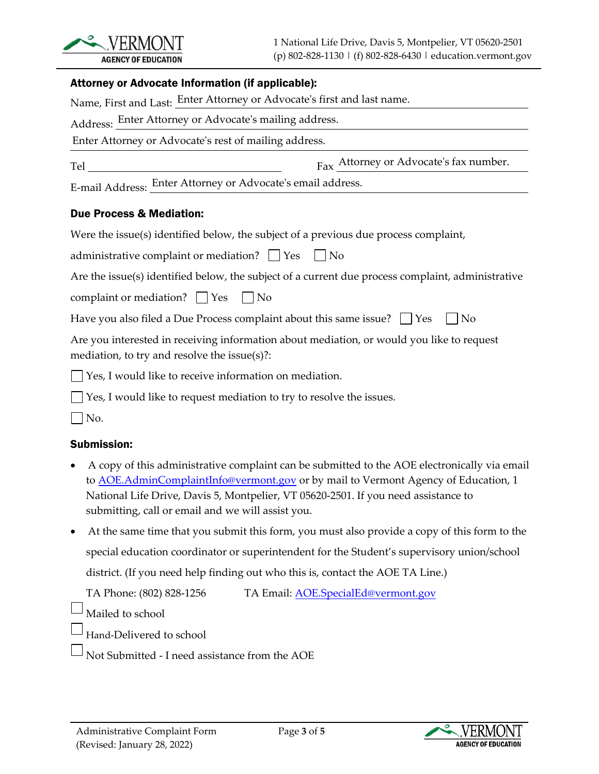

### Attorney or Advocate Information (if applicable):

|                                                                                                                                           | Name, First and Last: Enter Attorney or Advocate's first and last name.                      |  |
|-------------------------------------------------------------------------------------------------------------------------------------------|----------------------------------------------------------------------------------------------|--|
|                                                                                                                                           | Address: Enter Attorney or Advocate's mailing address.                                       |  |
|                                                                                                                                           | Enter Attorney or Advocate's rest of mailing address.                                        |  |
|                                                                                                                                           | Fax Attorney or Advocate's fax number.                                                       |  |
|                                                                                                                                           | E-mail Address: Enter Attorney or Advocate's email address.                                  |  |
| <b>Due Process &amp; Mediation:</b>                                                                                                       |                                                                                              |  |
|                                                                                                                                           | Were the issue(s) identified below, the subject of a previous due process complaint,         |  |
|                                                                                                                                           | administrative complaint or mediation? $\Box$ Yes<br>$\vert$ No                              |  |
| Are the issue(s) identified below, the subject of a current due process complaint, administrative                                         |                                                                                              |  |
| complaint or mediation? $\Box$ Yes                                                                                                        | $\vert$   No                                                                                 |  |
| Have you also filed a Due Process complaint about this same issue? $\Box$ Yes<br>  No                                                     |                                                                                              |  |
| Are you interested in receiving information about mediation, or would you like to request<br>mediation, to try and resolve the issue(s)?: |                                                                                              |  |
|                                                                                                                                           | $\Box$ Yes, I would like to receive information on mediation.                                |  |
|                                                                                                                                           | Yes, I would like to request mediation to try to resolve the issues.                         |  |
| $ $ No.                                                                                                                                   |                                                                                              |  |
| <b>Submission:</b>                                                                                                                        |                                                                                              |  |
|                                                                                                                                           | A copy of this administrative complaint can be submitted to the AOE electronically via email |  |

- to AOE.AdminComplaint[Info@vermont.gov](mailto:AOE.AdminComplaintInfo@vermont.gov) or by mail to Vermont Agency of Education, 1 National Life Drive, Davis 5, Montpelier, VT 05620-2501. If you need assistance to submitting, call or email and we will assist you.
- At the same time that you submit this form, you must also provide a copy of this form to the special education coordinator or superintendent for the Student's supervisory union/school district. (If you need help finding out who this is, contact the AOE TA Line.)

TA Phone: (802) 828-1256 TA Email: [AOE.SpecialEd@vermont.gov](mailto:AOE.SpecialEd@vermont.gov)

Mailed to school

- Hand-Delivered to school
- Not Submitted I need assistance from the AOE

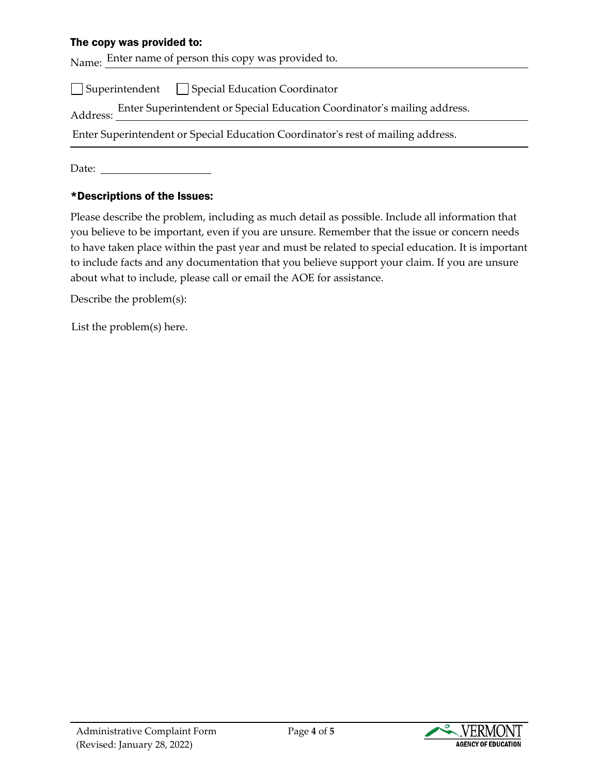### The copy was provided to:

Name: Enter name of person this copy was provided to.

 $\Box$  Superintendent  $\Box$  Special Education Coordinator

Address: Enter Superintendent or Special Education Coordinator's mailing address.

Enter Superintendent or Special Education Coordinator's rest of mailing address.

Date:

### \*Descriptions of the Issues:

Please describe the problem, including as much detail as possible. Include all information that you believe to be important, even if you are unsure. Remember that the issue or concern needs to have taken place within the past year and must be related to special education. It is important to include facts and any documentation that you believe support your claim. If you are unsure about what to include, please call or email the AOE for assistance.

Describe the problem(s):

List the problem(s) here.